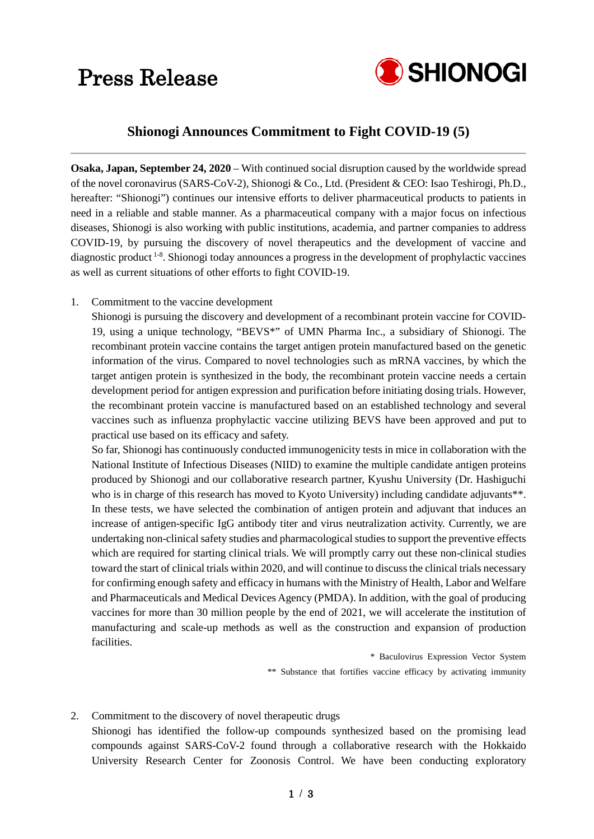## Press Release



### **Shionogi Announces Commitment to Fight COVID-19 (5)**

**Osaka, Japan, September 24, 2020** – With continued social disruption caused by the worldwide spread of the novel coronavirus (SARS-CoV-2), Shionogi & Co., Ltd. (President & CEO: Isao Teshirogi, Ph.D., hereafter: "Shionogi") continues our intensive efforts to deliver pharmaceutical products to patients in need in a reliable and stable manner. As a pharmaceutical company with a major focus on infectious diseases, Shionogi is also working with public institutions, academia, and partner companies to address COVID-19, by pursuing the discovery of novel therapeutics and the development of vaccine and diagnostic product<sup>1-8</sup>. Shionogi today announces a progress in the development of prophylactic vaccines as well as current situations of other efforts to fight COVID-19.

1. Commitment to the vaccine development

Shionogi is pursuing the discovery and development of a recombinant protein vaccine for COVID-19, using a unique technology, "BEVS\*" of UMN Pharma Inc., a subsidiary of Shionogi. The recombinant protein vaccine contains the target antigen protein manufactured based on the genetic information of the virus. Compared to novel technologies such as mRNA vaccines, by which the target antigen protein is synthesized in the body, the recombinant protein vaccine needs a certain development period for antigen expression and purification before initiating dosing trials. However, the recombinant protein vaccine is manufactured based on an established technology and several vaccines such as influenza prophylactic vaccine utilizing BEVS have been approved and put to practical use based on its efficacy and safety.

So far, Shionogi has continuously conducted immunogenicity tests in mice in collaboration with the National Institute of Infectious Diseases (NIID) to examine the multiple candidate antigen proteins produced by Shionogi and our collaborative research partner, Kyushu University (Dr. Hashiguchi who is in charge of this research has moved to Kyoto University) including candidate adjuvants\*\*. In these tests, we have selected the combination of antigen protein and adjuvant that induces an increase of antigen-specific IgG antibody titer and virus neutralization activity. Currently, we are undertaking non-clinical safety studies and pharmacological studies to support the preventive effects which are required for starting clinical trials. We will promptly carry out these non-clinical studies toward the start of clinical trials within 2020, and will continue to discuss the clinical trials necessary for confirming enough safety and efficacy in humans with the Ministry of Health, Labor and Welfare and Pharmaceuticals and Medical Devices Agency (PMDA). In addition, with the goal of producing vaccines for more than 30 million people by the end of 2021, we will accelerate the institution of manufacturing and scale-up methods as well as the construction and expansion of production facilities.

> \* Baculovirus Expression Vector System \*\* Substance that fortifies vaccine efficacy by activating immunity

#### 2. Commitment to the discovery of novel therapeutic drugs

Shionogi has identified the follow-up compounds synthesized based on the promising lead compounds against SARS-CoV-2 found through a collaborative research with the Hokkaido University Research Center for Zoonosis Control. We have been conducting exploratory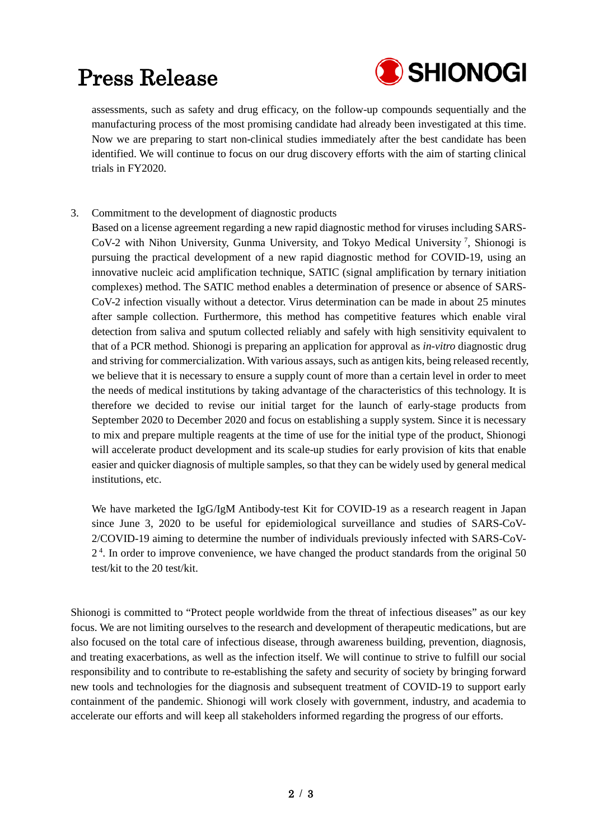## Press Release



assessments, such as safety and drug efficacy, on the follow-up compounds sequentially and the manufacturing process of the most promising candidate had already been investigated at this time. Now we are preparing to start non-clinical studies immediately after the best candidate has been identified. We will continue to focus on our drug discovery efforts with the aim of starting clinical trials in FY2020.

- 3. Commitment to the development of diagnostic products
	- Based on a license agreement regarding a new rapid diagnostic method for viruses including SARS-CoV-2 with Nihon University, Gunma University, and Tokyo Medical University <sup>7</sup> , Shionogi is pursuing the practical development of a new rapid diagnostic method for COVID-19, using an innovative nucleic acid amplification technique, SATIC (signal amplification by ternary initiation complexes) method. The SATIC method enables a determination of presence or absence of SARS-CoV-2 infection visually without a detector. Virus determination can be made in about 25 minutes after sample collection. Furthermore, this method has competitive features which enable viral detection from saliva and sputum collected reliably and safely with high sensitivity equivalent to that of a PCR method. Shionogi is preparing an application for approval as *in-vitro* diagnostic drug and striving for commercialization. With various assays, such as antigen kits, being released recently, we believe that it is necessary to ensure a supply count of more than a certain level in order to meet the needs of medical institutions by taking advantage of the characteristics of this technology. It is therefore we decided to revise our initial target for the launch of early-stage products from September 2020 to December 2020 and focus on establishing a supply system. Since it is necessary to mix and prepare multiple reagents at the time of use for the initial type of the product, Shionogi will accelerate product development and its scale-up studies for early provision of kits that enable easier and quicker diagnosis of multiple samples, so that they can be widely used by general medical institutions, etc.

We have marketed the IgG/IgM Antibody-test Kit for COVID-19 as a research reagent in Japan since June 3, 2020 to be useful for epidemiological surveillance and studies of SARS-CoV-2/COVID-19 aiming to determine the number of individuals previously infected with SARS-CoV-2<sup>4</sup>. In order to improve convenience, we have changed the product standards from the original 50 test/kit to the 20 test/kit.

Shionogi is committed to "Protect people worldwide from the threat of infectious diseases" as our key focus. We are not limiting ourselves to the research and development of therapeutic medications, but are also focused on the total care of infectious disease, through awareness building, prevention, diagnosis, and treating exacerbations, as well as the infection itself. We will continue to strive to fulfill our social responsibility and to contribute to re-establishing the safety and security of society by bringing forward new tools and technologies for the diagnosis and subsequent treatment of COVID-19 to support early containment of the pandemic. Shionogi will work closely with government, industry, and academia to accelerate our efforts and will keep all stakeholders informed regarding the progress of our efforts.